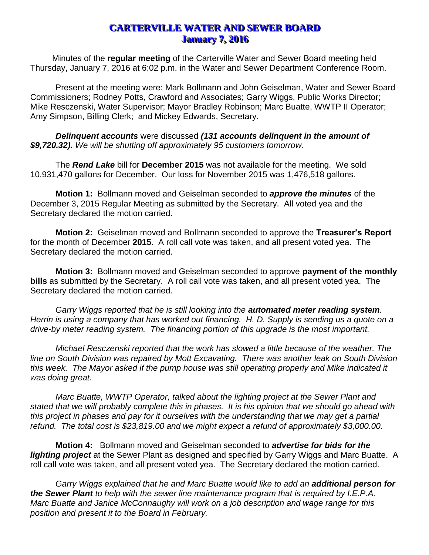## **CARTERVILLE WATER AND SEWER BOARD January 7, 2016**

Minutes of the **regular meeting** of the Carterville Water and Sewer Board meeting held Thursday, January 7, 2016 at 6:02 p.m. in the Water and Sewer Department Conference Room.

Present at the meeting were: Mark Bollmann and John Geiselman, Water and Sewer Board Commissioners; Rodney Potts, Crawford and Associates; Garry Wiggs, Public Works Director; Mike Resczenski, Water Supervisor; Mayor Bradley Robinson; Marc Buatte, WWTP II Operator; Amy Simpson, Billing Clerk; and Mickey Edwards, Secretary.

*Delinquent accounts* were discussed *(131 accounts delinquent in the amount of \$9,720.32). We will be shutting off approximately 95 customers tomorrow.*

The *Rend Lake* bill for **December 2015** was not available for the meeting. We sold 10,931,470 gallons for December. Our loss for November 2015 was 1,476,518 gallons.

**Motion 1:** Bollmann moved and Geiselman seconded to *approve the minutes* of the December 3, 2015 Regular Meeting as submitted by the Secretary. All voted yea and the Secretary declared the motion carried.

**Motion 2:** Geiselman moved and Bollmann seconded to approve the **Treasurer's Report** for the month of December **2015**. A roll call vote was taken, and all present voted yea. The Secretary declared the motion carried.

**Motion 3:** Bollmann moved and Geiselman seconded to approve **payment of the monthly bills** as submitted by the Secretary. A roll call vote was taken, and all present voted yea. The Secretary declared the motion carried.

*Garry Wiggs reported that he is still looking into the automated meter reading system. Herrin is using a company that has worked out financing. H. D. Supply is sending us a quote on a drive-by meter reading system. The financing portion of this upgrade is the most important.* 

*Michael Resczenski reported that the work has slowed a little because of the weather. The line on South Division was repaired by Mott Excavating. There was another leak on South Division this week. The Mayor asked if the pump house was still operating properly and Mike indicated it was doing great.*

*Marc Buatte, WWTP Operator, talked about the lighting project at the Sewer Plant and stated that we will probably complete this in phases. It is his opinion that we should go ahead with this project in phases and pay for it ourselves with the understanding that we may get a partial refund. The total cost is \$23,819.00 and we might expect a refund of approximately \$3,000.00.*

**Motion 4:** Bollmann moved and Geiselman seconded to *advertise for bids for the lighting project* at the Sewer Plant as designed and specified by Garry Wiggs and Marc Buatte. A roll call vote was taken, and all present voted yea. The Secretary declared the motion carried.

*Garry Wiggs explained that he and Marc Buatte would like to add an additional person for the Sewer Plant to help with the sewer line maintenance program that is required by I.E.P.A. Marc Buatte and Janice McConnaughy will work on a job description and wage range for this position and present it to the Board in February.*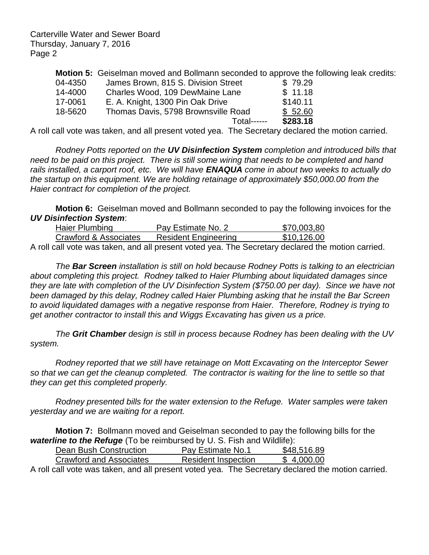Carterville Water and Sewer Board Thursday, January 7, 2016 Page 2

**Motion 5:** Geiselman moved and Bollmann seconded to approve the following leak credits:

| 04-4350 | James Brown, 815 S. Division Street | \$79.29  |
|---------|-------------------------------------|----------|
| 14-4000 | Charles Wood, 109 DewMaine Lane     | \$11.18  |
| 17-0061 | E. A. Knight, 1300 Pin Oak Drive    | \$140.11 |
| 18-5620 | Thomas Davis, 5798 Brownsville Road | \$52.60  |
|         | <b>Total------</b>                  | \$283.18 |

A roll call vote was taken, and all present voted yea. The Secretary declared the motion carried.

*Rodney Potts reported on the UV Disinfection System completion and introduced bills that need to be paid on this project. There is still some wiring that needs to be completed and hand rails installed, a carport roof, etc. We will have ENAQUA come in about two weeks to actually do the startup on this equipment. We are holding retainage of approximately \$50,000.00 from the Haier contract for completion of the project.* 

**Motion 6:** Geiselman moved and Bollmann seconded to pay the following invoices for the *UV Disinfection System*:

|  | Haier Plumbing        |  |  |  |  | Pay Estimate No. 2          |  |  | \$70,003,80                                                                                                     |
|--|-----------------------|--|--|--|--|-----------------------------|--|--|-----------------------------------------------------------------------------------------------------------------|
|  | Crawford & Associates |  |  |  |  | <b>Resident Engineering</b> |  |  | \$10,126.00                                                                                                     |
|  |                       |  |  |  |  |                             |  |  | the contract of the contract of the contract of the contract of the contract of the contract of the contract of |

A roll call vote was taken, and all present voted yea. The Secretary declared the motion carried.

*The Bar Screen installation is still on hold because Rodney Potts is talking to an electrician about completing this project. Rodney talked to Haier Plumbing about liquidated damages since they are late with completion of the UV Disinfection System (\$750.00 per day). Since we have not been damaged by this delay, Rodney called Haier Plumbing asking that he install the Bar Screen to avoid liquidated damages with a negative response from Haier. Therefore, Rodney is trying to get another contractor to install this and Wiggs Excavating has given us a price.* 

*The Grit Chamber design is still in process because Rodney has been dealing with the UV system.*

*Rodney reported that we still have retainage on Mott Excavating on the Interceptor Sewer so that we can get the cleanup completed. The contractor is waiting for the line to settle so that they can get this completed properly.*

*Rodney presented bills for the water extension to the Refuge. Water samples were taken yesterday and we are waiting for a report.*

**Motion 7:** Bollmann moved and Geiselman seconded to pay the following bills for the *waterline to the Refuge* (To be reimbursed by U. S. Fish and Wildlife):

| Dean Bush Construction  | Pay Estimate No.1          | \$48,516.89 |
|-------------------------|----------------------------|-------------|
| Crawford and Associates | <b>Resident Inspection</b> | \$4.000.00  |

A roll call vote was taken, and all present voted yea. The Secretary declared the motion carried.